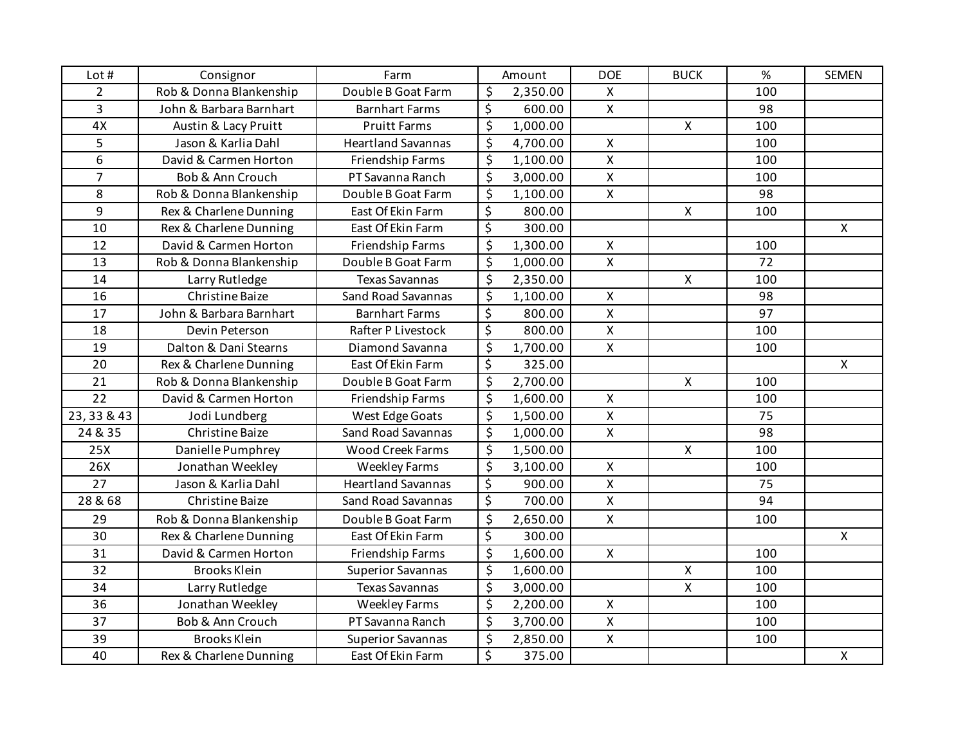| Lot $#$        | Consignor               | Farm                      |                        | Amount   | <b>DOE</b>         | <b>BUCK</b>    | $\%$ | <b>SEMEN</b> |
|----------------|-------------------------|---------------------------|------------------------|----------|--------------------|----------------|------|--------------|
| $\overline{2}$ | Rob & Donna Blankenship | Double B Goat Farm        | \$                     | 2,350.00 | $\mathsf{X}$       |                | 100  |              |
| 3              | John & Barbara Barnhart | <b>Barnhart Farms</b>     | \$                     | 600.00   | $\mathsf{X}$       |                | 98   |              |
| 4X             | Austin & Lacy Pruitt    | <b>Pruitt Farms</b>       | \$                     | 1,000.00 |                    | $\mathsf{X}$   | 100  |              |
| 5              | Jason & Karlia Dahl     | <b>Heartland Savannas</b> | \$                     | 4,700.00 | $\pmb{\mathsf{X}}$ |                | 100  |              |
| 6              | David & Carmen Horton   | Friendship Farms          | \$                     | 1,100.00 | $\mathsf{x}$       |                | 100  |              |
| $\overline{7}$ | Bob & Ann Crouch        | PT Savanna Ranch          | \$                     | 3,000.00 | $\pmb{\mathsf{X}}$ |                | 100  |              |
| 8              | Rob & Donna Blankenship | Double B Goat Farm        | \$                     | 1,100.00 | $\mathsf X$        |                | 98   |              |
| 9              | Rex & Charlene Dunning  | East Of Ekin Farm         | \$                     | 800.00   |                    | $\pmb{\times}$ | 100  |              |
| 10             | Rex & Charlene Dunning  | East Of Ekin Farm         | \$                     | 300.00   |                    |                |      | $\mathsf{X}$ |
| 12             | David & Carmen Horton   | Friendship Farms          | \$                     | 1,300.00 | $\pmb{\mathsf{X}}$ |                | 100  |              |
| 13             | Rob & Donna Blankenship | Double B Goat Farm        | \$                     | 1,000.00 | $\mathsf{X}$       |                | 72   |              |
| 14             | Larry Rutledge          | <b>Texas Savannas</b>     | \$                     | 2,350.00 |                    | $\mathsf{x}$   | 100  |              |
| 16             | Christine Baize         | Sand Road Savannas        | \$                     | 1,100.00 | $\pmb{\mathsf{X}}$ |                | 98   |              |
| 17             | John & Barbara Barnhart | <b>Barnhart Farms</b>     | \$                     | 800.00   | $\pmb{\mathsf{X}}$ |                | 97   |              |
| 18             | Devin Peterson          | Rafter P Livestock        | \$                     | 800.00   | $\overline{X}$     |                | 100  |              |
| 19             | Dalton & Dani Stearns   | Diamond Savanna           | \$                     | 1,700.00 | $\mathsf{X}$       |                | 100  |              |
| 20             | Rex & Charlene Dunning  | East Of Ekin Farm         | \$                     | 325.00   |                    |                |      | $\mathsf{X}$ |
| 21             | Rob & Donna Blankenship | Double B Goat Farm        | \$                     | 2,700.00 |                    | $\mathsf{x}$   | 100  |              |
| 22             | David & Carmen Horton   | Friendship Farms          | \$                     | 1,600.00 | $\overline{X}$     |                | 100  |              |
| 23, 33 & 43    | Jodi Lundberg           | West Edge Goats           | \$                     | 1,500.00 | $\pmb{\times}$     |                | 75   |              |
| 24 & 35        | <b>Christine Baize</b>  | Sand Road Savannas        | $\overline{\varsigma}$ | 1,000.00 | $\overline{X}$     |                | 98   |              |
| 25X            | Danielle Pumphrey       | <b>Wood Creek Farms</b>   | \$                     | 1,500.00 |                    | $\mathsf{x}$   | 100  |              |
| 26X            | Jonathan Weekley        | <b>Weekley Farms</b>      | \$                     | 3,100.00 | $\mathsf X$        |                | 100  |              |
| 27             | Jason & Karlia Dahl     | <b>Heartland Savannas</b> | \$                     | 900.00   | $\pmb{\times}$     |                | 75   |              |
| 28 & 68        | <b>Christine Baize</b>  | Sand Road Savannas        | \$                     | 700.00   | $\overline{X}$     |                | 94   |              |
| 29             | Rob & Donna Blankenship | Double B Goat Farm        | \$                     | 2,650.00 | $\mathsf X$        |                | 100  |              |
| 30             | Rex & Charlene Dunning  | East Of Ekin Farm         | \$                     | 300.00   |                    |                |      | $\mathsf{x}$ |
| 31             | David & Carmen Horton   | Friendship Farms          | \$                     | 1,600.00 | $\mathsf X$        |                | 100  |              |
| 32             | <b>Brooks Klein</b>     | <b>Superior Savannas</b>  | \$                     | 1,600.00 |                    | $\pmb{\times}$ | 100  |              |
| 34             | Larry Rutledge          | <b>Texas Savannas</b>     | \$                     | 3,000.00 |                    | $\pmb{\times}$ | 100  |              |
| 36             | Jonathan Weekley        | <b>Weekley Farms</b>      | \$                     | 2,200.00 | $\pmb{\times}$     |                | 100  |              |
| 37             | Bob & Ann Crouch        | PT Savanna Ranch          | \$                     | 3,700.00 | $\pmb{\mathsf{X}}$ |                | 100  |              |
| 39             | <b>Brooks Klein</b>     | <b>Superior Savannas</b>  | \$                     | 2,850.00 | $\pmb{\mathsf{X}}$ |                | 100  |              |
| 40             | Rex & Charlene Dunning  | East Of Ekin Farm         | \$                     | 375.00   |                    |                |      | $\mathsf{X}$ |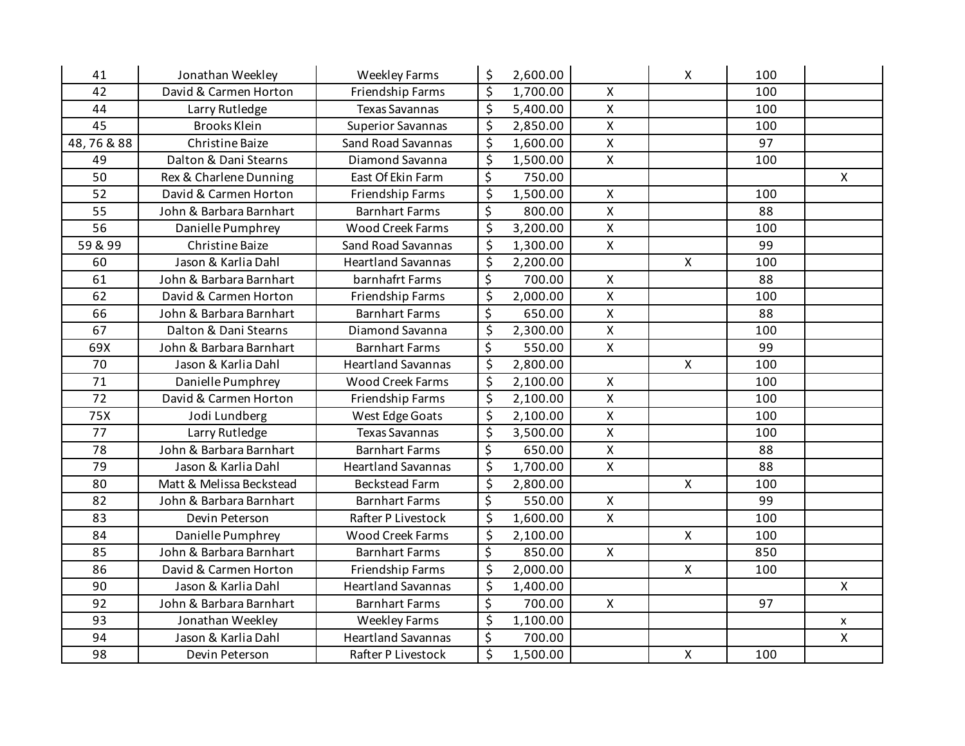| 41              | Jonathan Weekley         | <b>Weekley Farms</b>      | \$                      | 2,600.00 |                    | X            | 100 |                    |
|-----------------|--------------------------|---------------------------|-------------------------|----------|--------------------|--------------|-----|--------------------|
| 42              | David & Carmen Horton    | Friendship Farms          | \$                      | 1,700.00 | X                  |              | 100 |                    |
| 44              | Larry Rutledge           | <b>Texas Savannas</b>     | \$                      | 5,400.00 | $\mathsf{X}$       |              | 100 |                    |
| 45              | <b>Brooks Klein</b>      | <b>Superior Savannas</b>  | \$                      | 2,850.00 | $\pmb{\times}$     |              | 100 |                    |
| 48,76 & 88      | Christine Baize          | Sand Road Savannas        | \$                      | 1,600.00 | $\mathsf{x}$       |              | 97  |                    |
| 49              | Dalton & Dani Stearns    | Diamond Savanna           | \$                      | 1,500.00 | $\pmb{\times}$     |              | 100 |                    |
| 50              | Rex & Charlene Dunning   | East Of Ekin Farm         | \$                      | 750.00   |                    |              |     | X                  |
| 52              | David & Carmen Horton    | Friendship Farms          | \$                      | 1,500.00 | $\pmb{\times}$     |              | 100 |                    |
| 55              | John & Barbara Barnhart  | <b>Barnhart Farms</b>     | \$                      | 800.00   | $\mathsf{X}$       |              | 88  |                    |
| $\overline{56}$ | Danielle Pumphrey        | <b>Wood Creek Farms</b>   | \$                      | 3,200.00 | $\pmb{\mathsf{X}}$ |              | 100 |                    |
| 59 & 99         | Christine Baize          | Sand Road Savannas        | \$                      | 1,300.00 | $\mathsf X$        |              | 99  |                    |
| 60              | Jason & Karlia Dahl      | <b>Heartland Savannas</b> | \$                      | 2,200.00 |                    | $\mathsf{X}$ | 100 |                    |
| 61              | John & Barbara Barnhart  | barnhafrt Farms           | $\overline{\mathsf{S}}$ | 700.00   | $\pmb{\times}$     |              | 88  |                    |
| 62              | David & Carmen Horton    | Friendship Farms          | \$                      | 2,000.00 | $\pmb{\mathsf{X}}$ |              | 100 |                    |
| 66              | John & Barbara Barnhart  | <b>Barnhart Farms</b>     | \$                      | 650.00   | $\overline{X}$     |              | 88  |                    |
| 67              | Dalton & Dani Stearns    | Diamond Savanna           | \$                      | 2,300.00 | $\mathsf{X}$       |              | 100 |                    |
| 69X             | John & Barbara Barnhart  | <b>Barnhart Farms</b>     | \$                      | 550.00   | $\mathsf{X}$       |              | 99  |                    |
| 70              | Jason & Karlia Dahl      | <b>Heartland Savannas</b> | \$                      | 2,800.00 |                    | $\mathsf{X}$ | 100 |                    |
| 71              | Danielle Pumphrey        | <b>Wood Creek Farms</b>   | \$                      | 2,100.00 | $\pmb{\times}$     |              | 100 |                    |
| 72              | David & Carmen Horton    | Friendship Farms          | \$                      | 2,100.00 | $\mathsf{x}$       |              | 100 |                    |
| 75X             | Jodi Lundberg            | West Edge Goats           | \$                      | 2,100.00 | $\pmb{\mathsf{X}}$ |              | 100 |                    |
| $\overline{77}$ | Larry Rutledge           | <b>Texas Savannas</b>     | \$                      | 3,500.00 | $\overline{X}$     |              | 100 |                    |
| 78              | John & Barbara Barnhart  | <b>Barnhart Farms</b>     | \$                      | 650.00   | $\pmb{\times}$     |              | 88  |                    |
| 79              | Jason & Karlia Dahl      | <b>Heartland Savannas</b> | \$                      | 1,700.00 | $\mathsf{X}$       |              | 88  |                    |
| 80              | Matt & Melissa Beckstead | <b>Beckstead Farm</b>     | \$                      | 2,800.00 |                    | $\mathsf{X}$ | 100 |                    |
| 82              | John & Barbara Barnhart  | <b>Barnhart Farms</b>     | \$                      | 550.00   | $\pmb{\times}$     |              | 99  |                    |
| 83              | Devin Peterson           | Rafter P Livestock        | \$                      | 1,600.00 | $\pmb{\times}$     |              | 100 |                    |
| 84              | Danielle Pumphrey        | <b>Wood Creek Farms</b>   | \$                      | 2,100.00 |                    | $\mathsf{X}$ | 100 |                    |
| 85              | John & Barbara Barnhart  | <b>Barnhart Farms</b>     | \$                      | 850.00   | $\pmb{\mathsf{X}}$ |              | 850 |                    |
| 86              | David & Carmen Horton    | Friendship Farms          | \$                      | 2,000.00 |                    | $\mathsf{x}$ | 100 |                    |
| 90              | Jason & Karlia Dahl      | <b>Heartland Savannas</b> | \$                      | 1,400.00 |                    |              |     | $\pmb{\mathsf{X}}$ |
| 92              | John & Barbara Barnhart  | <b>Barnhart Farms</b>     | \$                      | 700.00   | $\mathsf{X}$       |              | 97  |                    |
| 93              | Jonathan Weekley         | <b>Weekley Farms</b>      | \$                      | 1,100.00 |                    |              |     | $\pmb{\mathsf{x}}$ |
| 94              | Jason & Karlia Dahl      | <b>Heartland Savannas</b> | \$                      | 700.00   |                    |              |     | $\pmb{\mathsf{X}}$ |
| 98              | Devin Peterson           | Rafter P Livestock        | $\overline{\xi}$        | 1,500.00 |                    | $\mathsf{X}$ | 100 |                    |